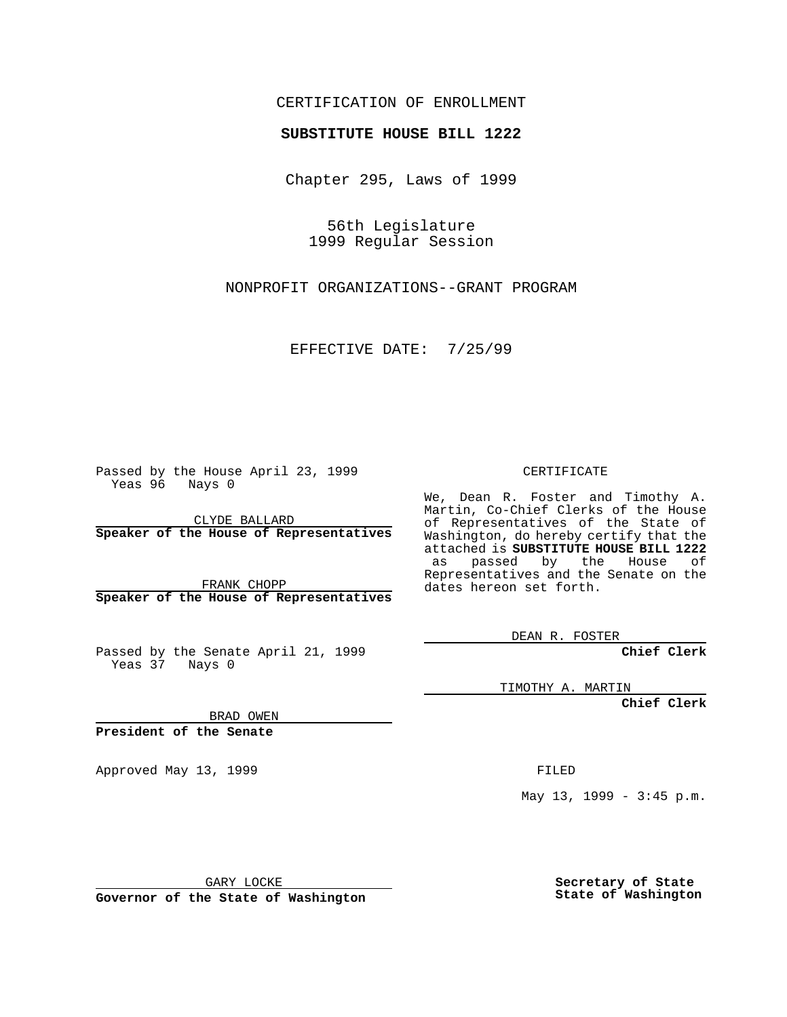#### CERTIFICATION OF ENROLLMENT

# **SUBSTITUTE HOUSE BILL 1222**

Chapter 295, Laws of 1999

56th Legislature 1999 Regular Session

NONPROFIT ORGANIZATIONS--GRANT PROGRAM

EFFECTIVE DATE: 7/25/99

Passed by the House April 23, 1999 Yeas 96 Nays 0

CLYDE BALLARD **Speaker of the House of Representatives**

FRANK CHOPP **Speaker of the House of Representatives**

Passed by the Senate April 21, 1999 Yeas 37 Nays 0

CERTIFICATE

We, Dean R. Foster and Timothy A. Martin, Co-Chief Clerks of the House of Representatives of the State of Washington, do hereby certify that the attached is **SUBSTITUTE HOUSE BILL 1222** as passed by the House of Representatives and the Senate on the dates hereon set forth.

DEAN R. FOSTER

**Chief Clerk**

TIMOTHY A. MARTIN

**Chief Clerk**

BRAD OWEN

**President of the Senate**

Approved May 13, 1999 **FILED** 

May 13, 1999 - 3:45 p.m.

GARY LOCKE

**Governor of the State of Washington**

**Secretary of State State of Washington**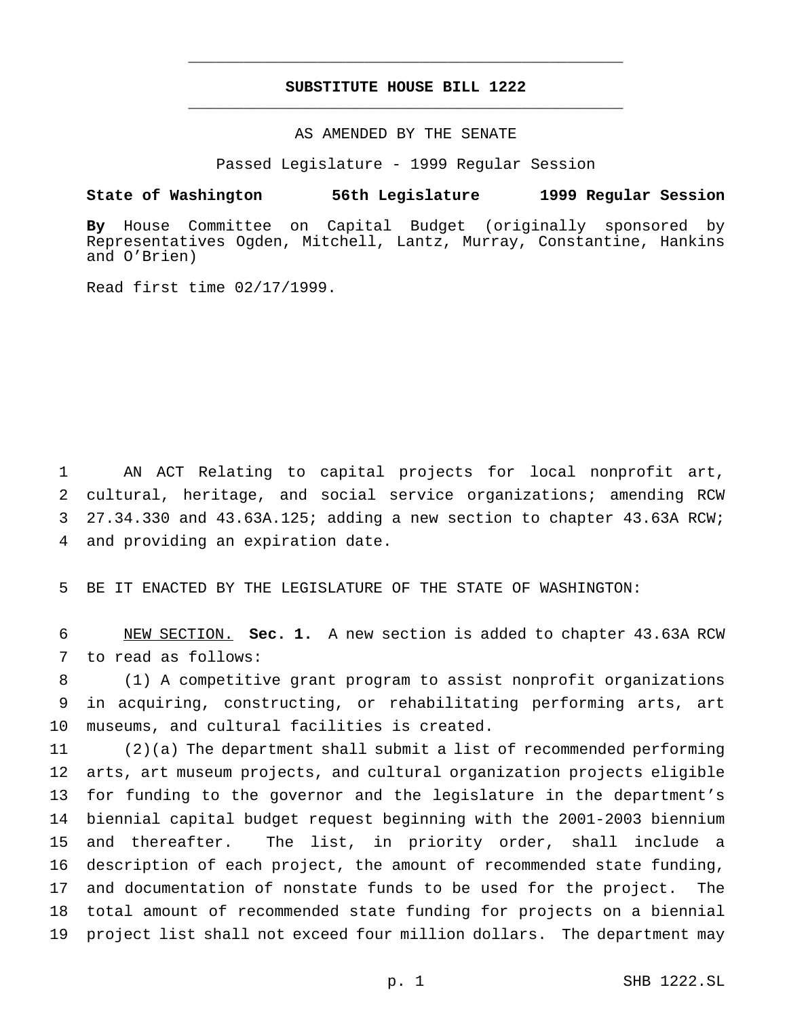## **SUBSTITUTE HOUSE BILL 1222** \_\_\_\_\_\_\_\_\_\_\_\_\_\_\_\_\_\_\_\_\_\_\_\_\_\_\_\_\_\_\_\_\_\_\_\_\_\_\_\_\_\_\_\_\_\_\_

\_\_\_\_\_\_\_\_\_\_\_\_\_\_\_\_\_\_\_\_\_\_\_\_\_\_\_\_\_\_\_\_\_\_\_\_\_\_\_\_\_\_\_\_\_\_\_

### AS AMENDED BY THE SENATE

Passed Legislature - 1999 Regular Session

#### **State of Washington 56th Legislature 1999 Regular Session**

**By** House Committee on Capital Budget (originally sponsored by Representatives Ogden, Mitchell, Lantz, Murray, Constantine, Hankins and O'Brien)

Read first time 02/17/1999.

 AN ACT Relating to capital projects for local nonprofit art, cultural, heritage, and social service organizations; amending RCW 27.34.330 and 43.63A.125; adding a new section to chapter 43.63A RCW; and providing an expiration date.

BE IT ENACTED BY THE LEGISLATURE OF THE STATE OF WASHINGTON:

 NEW SECTION. **Sec. 1.** A new section is added to chapter 43.63A RCW to read as follows:

 (1) A competitive grant program to assist nonprofit organizations in acquiring, constructing, or rehabilitating performing arts, art museums, and cultural facilities is created.

 (2)(a) The department shall submit a list of recommended performing arts, art museum projects, and cultural organization projects eligible for funding to the governor and the legislature in the department's biennial capital budget request beginning with the 2001-2003 biennium and thereafter. The list, in priority order, shall include a description of each project, the amount of recommended state funding, and documentation of nonstate funds to be used for the project. The total amount of recommended state funding for projects on a biennial project list shall not exceed four million dollars. The department may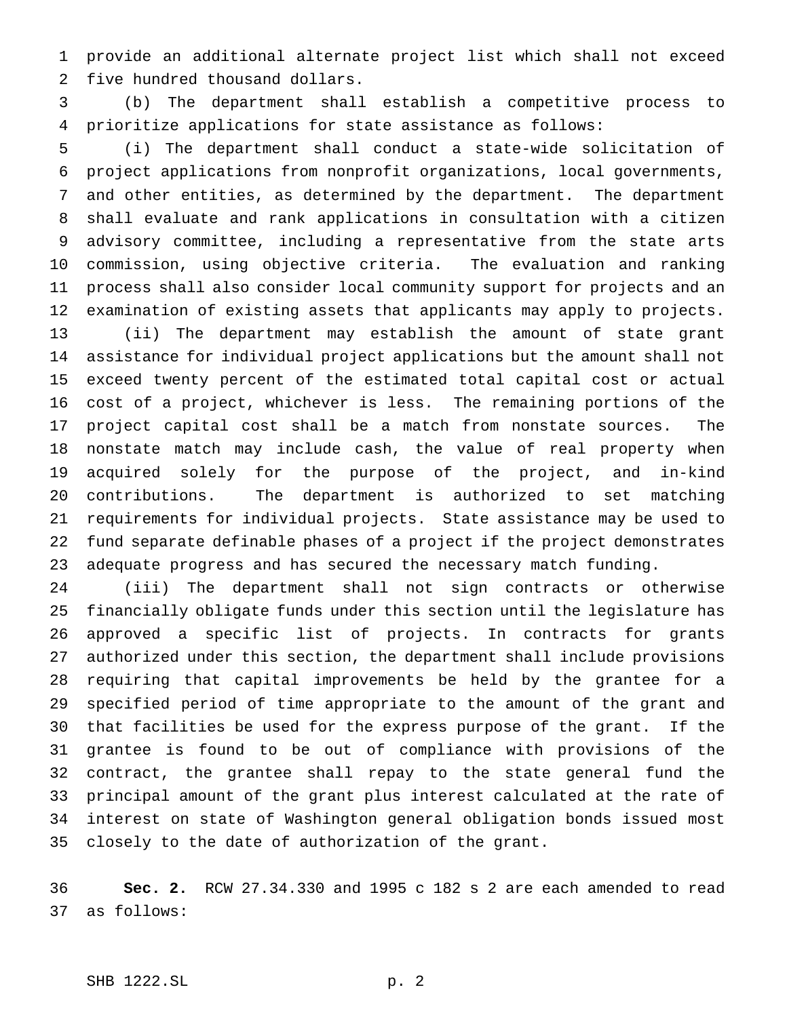provide an additional alternate project list which shall not exceed five hundred thousand dollars.

 (b) The department shall establish a competitive process to prioritize applications for state assistance as follows:

 (i) The department shall conduct a state-wide solicitation of project applications from nonprofit organizations, local governments, and other entities, as determined by the department. The department shall evaluate and rank applications in consultation with a citizen advisory committee, including a representative from the state arts commission, using objective criteria. The evaluation and ranking process shall also consider local community support for projects and an examination of existing assets that applicants may apply to projects. (ii) The department may establish the amount of state grant assistance for individual project applications but the amount shall not exceed twenty percent of the estimated total capital cost or actual cost of a project, whichever is less. The remaining portions of the project capital cost shall be a match from nonstate sources. The nonstate match may include cash, the value of real property when acquired solely for the purpose of the project, and in-kind contributions. The department is authorized to set matching requirements for individual projects. State assistance may be used to fund separate definable phases of a project if the project demonstrates adequate progress and has secured the necessary match funding.

 (iii) The department shall not sign contracts or otherwise financially obligate funds under this section until the legislature has approved a specific list of projects. In contracts for grants authorized under this section, the department shall include provisions requiring that capital improvements be held by the grantee for a specified period of time appropriate to the amount of the grant and that facilities be used for the express purpose of the grant. If the grantee is found to be out of compliance with provisions of the contract, the grantee shall repay to the state general fund the principal amount of the grant plus interest calculated at the rate of interest on state of Washington general obligation bonds issued most closely to the date of authorization of the grant.

 **Sec. 2.** RCW 27.34.330 and 1995 c 182 s 2 are each amended to read as follows: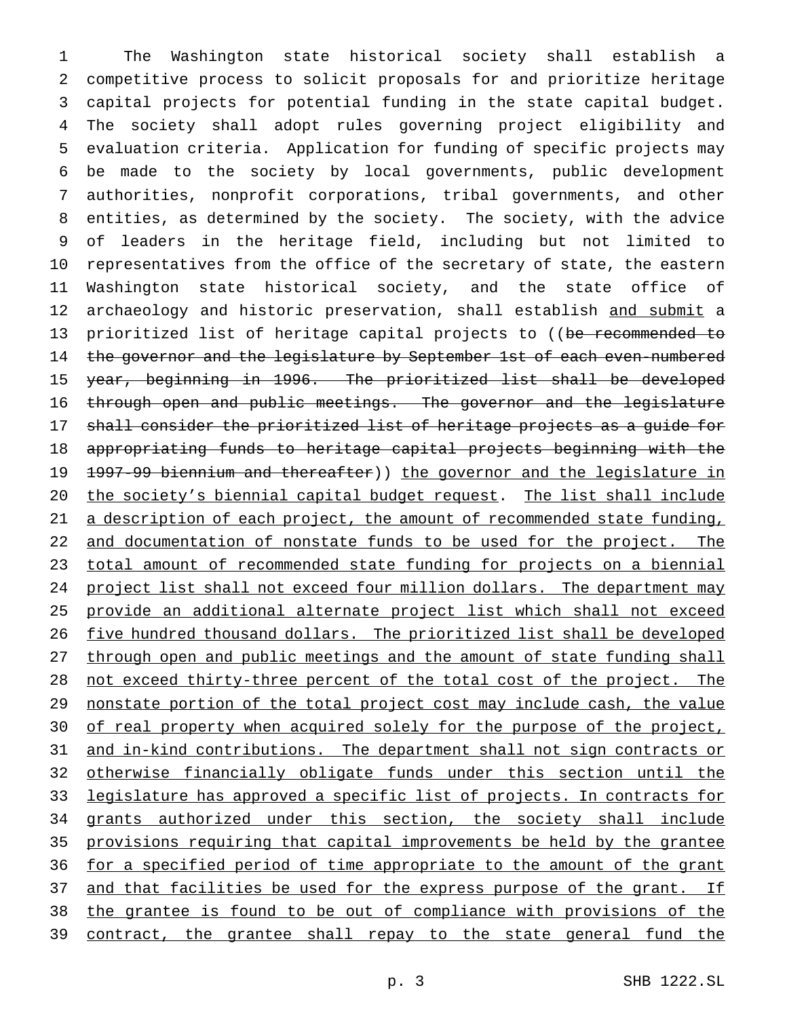The Washington state historical society shall establish a competitive process to solicit proposals for and prioritize heritage capital projects for potential funding in the state capital budget. The society shall adopt rules governing project eligibility and evaluation criteria. Application for funding of specific projects may be made to the society by local governments, public development authorities, nonprofit corporations, tribal governments, and other entities, as determined by the society. The society, with the advice of leaders in the heritage field, including but not limited to representatives from the office of the secretary of state, the eastern Washington state historical society, and the state office of 12 archaeology and historic preservation, shall establish and submit a 13 prioritized list of heritage capital projects to ((be recommended to 14 the governor and the legislature by September 1st of each even-numbered year, beginning in 1996. The prioritized list shall be developed through open and public meetings. The governor and the legislature shall consider the prioritized list of heritage projects as a guide for appropriating funds to heritage capital projects beginning with the 1997-99 biennium and thereafter)) the governor and the legislature in 20 the society's biennial capital budget request. The list shall include 21 a description of each project, the amount of recommended state funding, 22 and documentation of nonstate funds to be used for the project. The total amount of recommended state funding for projects on a biennial project list shall not exceed four million dollars. The department may provide an additional alternate project list which shall not exceed five hundred thousand dollars. The prioritized list shall be developed 27 through open and public meetings and the amount of state funding shall not exceed thirty-three percent of the total cost of the project. The nonstate portion of the total project cost may include cash, the value 30 of real property when acquired solely for the purpose of the project, and in-kind contributions. The department shall not sign contracts or otherwise financially obligate funds under this section until the legislature has approved a specific list of projects. In contracts for 34 grants authorized under this section, the society shall include provisions requiring that capital improvements be held by the grantee 36 for a specified period of time appropriate to the amount of the grant 37 and that facilities be used for the express purpose of the grant. If the grantee is found to be out of compliance with provisions of the contract, the grantee shall repay to the state general fund the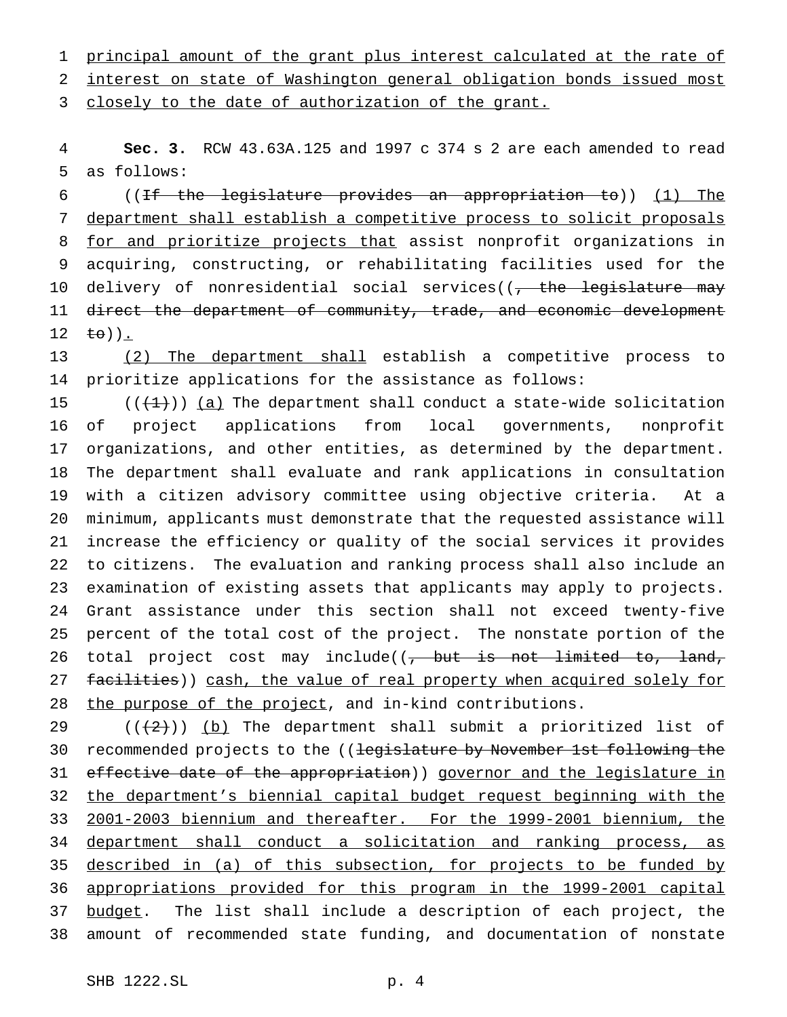principal amount of the grant plus interest calculated at the rate of interest on state of Washington general obligation bonds issued most

3 closely to the date of authorization of the grant.

 **Sec. 3.** RCW 43.63A.125 and 1997 c 374 s 2 are each amended to read as follows:

 ((If the legislature provides an appropriation to)) (1) The department shall establish a competitive process to solicit proposals 8 for and prioritize projects that assist nonprofit organizations in acquiring, constructing, or rehabilitating facilities used for the 10 delivery of nonresidential social services((<del>, the legislature may</del> 11 direct the department of community, trade, and economic development 12  $\pm \theta$ ).

13 (2) The department shall establish a competitive process to prioritize applications for the assistance as follows:

 $((+1))$  (a) The department shall conduct a state-wide solicitation of project applications from local governments, nonprofit organizations, and other entities, as determined by the department. The department shall evaluate and rank applications in consultation with a citizen advisory committee using objective criteria. At a minimum, applicants must demonstrate that the requested assistance will increase the efficiency or quality of the social services it provides to citizens. The evaluation and ranking process shall also include an examination of existing assets that applicants may apply to projects. Grant assistance under this section shall not exceed twenty-five percent of the total cost of the project. The nonstate portion of the 26 total project cost may include((, but is not limited to, land, 27 facilities)) cash, the value of real property when acquired solely for 28 the purpose of the project, and in-kind contributions.

29  $((+2))$  (b) The department shall submit a prioritized list of 30 recommended projects to the ((legislature by November 1st following the 31 effective date of the appropriation)) governor and the legislature in the department's biennial capital budget request beginning with the 2001-2003 biennium and thereafter. For the 1999-2001 biennium, the department shall conduct a solicitation and ranking process, as 35 described in (a) of this subsection, for projects to be funded by appropriations provided for this program in the 1999-2001 capital 37 budget. The list shall include a description of each project, the amount of recommended state funding, and documentation of nonstate